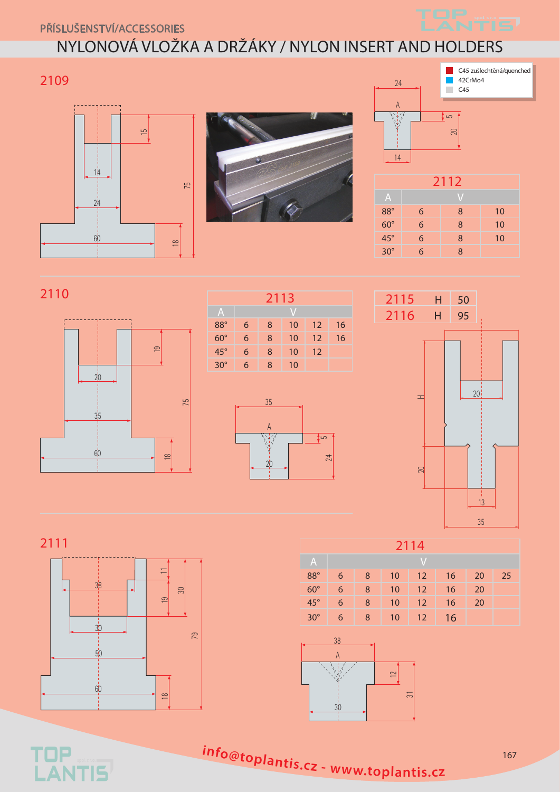Příslušenství/Accessories

## NYLONOVÁ VLOŽKA A DRŽÁKY / nylon insert and holders











| 2112         |           |   |    |
|--------------|-----------|---|----|
| $\mathsf{A}$ | $\sqrt{}$ |   |    |
| $88^\circ$   | 6         | 8 | 10 |
| $60^\circ$   | 6         | 8 | 10 |
| $45^\circ$   | 6         | 8 | 10 |
| $30^\circ$   | 6         | 8 |    |

















**<sup>i</sup>nfo@toplantis.c<sup>z</sup> <sup>w</sup>ww.toplantis.c<sup>z</sup>**